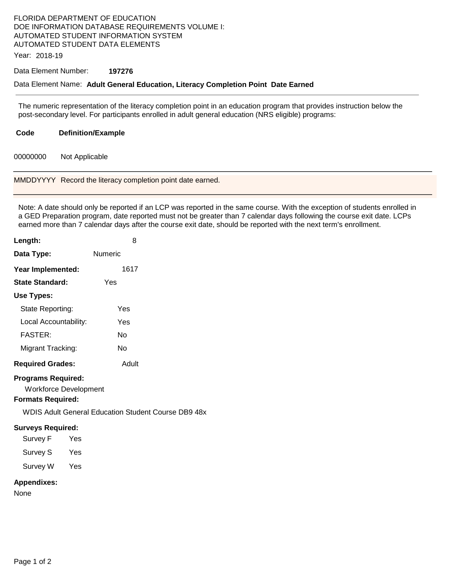## FLORIDA DEPARTMENT OF EDUCATION DOE INFORMATION DATABASE REQUIREMENTS VOLUME I: AUTOMATED STUDENT INFORMATION SYSTEM AUTOMATED STUDENT DATA ELEMENTS

Year: 2018-19

## Data Element Number: **197276**

## Data Element Name: **Adult General Education, Literacy Completion Point Date Earned**

 The numeric representation of the literacy completion point in an education program that provides instruction below the post-secondary level. For participants enrolled in adult general education (NRS eligible) programs:

| Code | <b>Definition/Example</b> |
|------|---------------------------|
|------|---------------------------|

00000000 Not Applicable

MMDDYYYY Record the literacy completion point date earned.

 Note: A date should only be reported if an LCP was reported in the same course. With the exception of students enrolled in a GED Preparation program, date reported must not be greater than 7 calendar days following the course exit date. LCPs earned more than 7 calendar days after the course exit date, should be reported with the next term's enrollment.

| Length:                                                                               | 8                                                   |
|---------------------------------------------------------------------------------------|-----------------------------------------------------|
| Data Type:                                                                            | <b>Numeric</b>                                      |
| Year Implemented:                                                                     | 1617                                                |
| <b>State Standard:</b>                                                                | Yes                                                 |
| Use Types:                                                                            |                                                     |
| State Reporting:                                                                      | Yes                                                 |
| Local Accountability:                                                                 | Yes                                                 |
| <b>FASTER:</b>                                                                        | No                                                  |
| Migrant Tracking:                                                                     | No                                                  |
| <b>Required Grades:</b>                                                               | Adult                                               |
| <b>Programs Required:</b><br><b>Workforce Development</b><br><b>Formats Required:</b> |                                                     |
|                                                                                       | WDIS Adult General Education Student Course DB9 48x |
| <b>Surveys Required:</b><br>Survey F<br>Yes<br>Survey S Yes<br>Survey W Yes           |                                                     |
| <b>Appendixes:</b>                                                                    |                                                     |

None